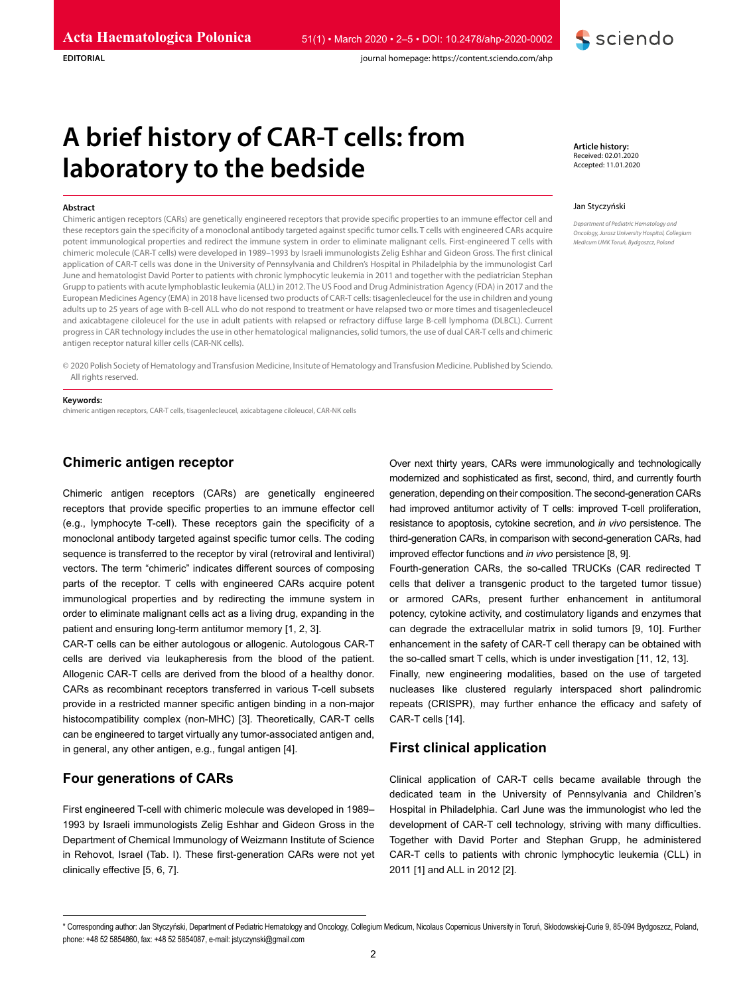

journal homepage: https://content.sciendo.com/ahp

# **A brief history of CAR-T cells: from laboratory to the bedside**

#### **Abstract**

**EDITORIAL**

Chimeric antigen receptors (CARs) are genetically engineered receptors that provide specific properties to an immune effector cell and these receptors gain the specificity of a monoclonal antibody targeted against specific tumor cells. T cells with engineered CARs acquire potent immunological properties and redirect the immune system in order to eliminate malignant cells. First-engineered T cells with chimeric molecule (CAR-T cells) were developed in 1989–1993 by Israeli immunologists Zelig Eshhar and Gideon Gross. The first clinical application of CAR-T cells was done in the University of Pennsylvania and Children's Hospital in Philadelphia by the immunologist Carl June and hematologist David Porter to patients with chronic lymphocytic leukemia in 2011 and together with the pediatrician Stephan Grupp to patients with acute lymphoblastic leukemia (ALL) in 2012. The US Food and Drug Administration Agency (FDA) in 2017 and the European Medicines Agency (EMA) in 2018 have licensed two products of CAR-T cells: tisagenlecleucel for the use in children and young adults up to 25 years of age with B-cell ALL who do not respond to treatment or have relapsed two or more times and tisagenlecleucel and axicabtagene ciloleucel for the use in adult patients with relapsed or refractory diffuse large B-cell lymphoma (DLBCL). Current progress in CAR technology includes the use in other hematological malignancies, solid tumors, the use of dual CAR-T cells and chimeric antigen receptor natural killer cells (CAR-NK cells).

© 2020 Polish Society of Hematology and Transfusion Medicine, Insitute of Hematology and Transfusion Medicine. Published by Sciendo. All rights reserved.

# **Keywords:**

chimeric antigen receptors, CAR-T cells, tisagenlecleucel, axicabtagene ciloleucel, CAR-NK cells

# **Chimeric antigen receptor**

Chimeric antigen receptors (CARs) are genetically engineered receptors that provide specific properties to an immune effector cell (e.g., lymphocyte T-cell). These receptors gain the specificity of a monoclonal antibody targeted against specific tumor cells. The coding sequence is transferred to the receptor by viral (retroviral and lentiviral) vectors. The term "chimeric" indicates different sources of composing parts of the receptor. T cells with engineered CARs acquire potent immunological properties and by redirecting the immune system in order to eliminate malignant cells act as a living drug, expanding in the patient and ensuring long-term antitumor memory [1, 2, 3].

CAR-T cells can be either autologous or allogenic. Autologous CAR-T cells are derived via leukapheresis from the blood of the patient. Allogenic CAR-T cells are derived from the blood of a healthy donor. CARs as recombinant receptors transferred in various T-cell subsets provide in a restricted manner specific antigen binding in a non-major histocompatibility complex (non-MHC) [3]. Theoretically, CAR-T cells can be engineered to target virtually any tumor-associated antigen and, in general, any other antigen, e.g., fungal antigen [4].

# **Four generations of CARs**

First engineered T-cell with chimeric molecule was developed in 1989– 1993 by Israeli immunologists Zelig Eshhar and Gideon Gross in the Department of Chemical Immunology of Weizmann Institute of Science in Rehovot, Israel (Tab. I). These first-generation CARs were not yet clinically effective [5, 6, 7].

**Article history:** Received: 02.01.2020 Accepted: 11.01.2020

#### Jan Styczyński

*Department of Pediatric Hematology and Oncology, Jurasz University Hospital, Collegium Medicum UMK Toruń, Bydgoszcz, Poland*

Over next thirty years, CARs were immunologically and technologically modernized and sophisticated as first, second, third, and currently fourth generation, depending on their composition. The second-generation CARs had improved antitumor activity of T cells: improved T-cell proliferation, resistance to apoptosis, cytokine secretion, and *in vivo* persistence. The third-generation CARs, in comparison with second-generation CARs, had improved effector functions and *in vivo* persistence [8, 9].

Fourth-generation CARs, the so-called TRUCKs (CAR redirected T cells that deliver a transgenic product to the targeted tumor tissue) or armored CARs, present further enhancement in antitumoral potency, cytokine activity, and costimulatory ligands and enzymes that can degrade the extracellular matrix in solid tumors [9, 10]. Further enhancement in the safety of CAR-T cell therapy can be obtained with the so-called smart T cells, which is under investigation [11, 12, 13].

Finally, new engineering modalities, based on the use of targeted nucleases like clustered regularly interspaced short palindromic repeats (CRISPR), may further enhance the efficacy and safety of CAR-T cells [14].

# **First clinical application**

Clinical application of CAR-T cells became available through the dedicated team in the University of Pennsylvania and Children's Hospital in Philadelphia. Carl June was the immunologist who led the development of CAR-T cell technology, striving with many difficulties. Together with David Porter and Stephan Grupp, he administered CAR-T cells to patients with chronic lymphocytic leukemia (CLL) in 2011 [1] and ALL in 2012 [2].

<sup>\*</sup> Corresponding author: Jan Styczyński, Department of Pediatric Hematology and Oncology, Collegium Medicum, Nicolaus Copernicus University in Toruń, Skłodowskiej-Curie 9, 85-094 Bydgoszcz, Poland, phone: +48 52 5854860, fax: +48 52 5854087, e-mail: jstyczynski@gmail.com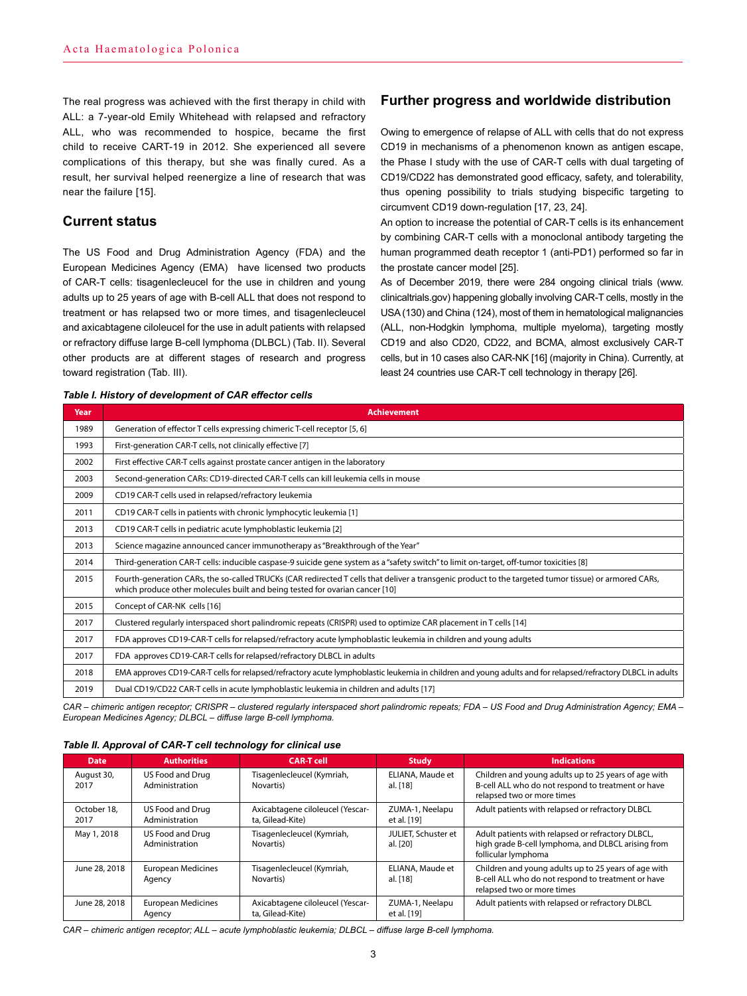The real progress was achieved with the first therapy in child with ALL: a 7-year-old Emily Whitehead with relapsed and refractory ALL, who was recommended to hospice, became the first child to receive CART-19 in 2012. She experienced all severe complications of this therapy, but she was finally cured. As a result, her survival helped reenergize a line of research that was near the failure [15].

# **Current status**

The US Food and Drug Administration Agency (FDA) and the European Medicines Agency (EMA) have licensed two products of CAR-T cells: tisagenlecleucel for the use in children and young adults up to 25 years of age with B-cell ALL that does not respond to treatment or has relapsed two or more times, and tisagenlecleucel and axicabtagene ciloleucel for the use in adult patients with relapsed or refractory diffuse large B-cell lymphoma (DLBCL) (Tab. II). Several other products are at different stages of research and progress toward registration (Tab. III).

*Table I. History of development of CAR effector cells*

# **Further progress and worldwide distribution**

Owing to emergence of relapse of ALL with cells that do not express CD19 in mechanisms of a phenomenon known as antigen escape, the Phase I study with the use of CAR-T cells with dual targeting of CD19/CD22 has demonstrated good efficacy, safety, and tolerability, thus opening possibility to trials studying bispecific targeting to circumvent CD19 down-regulation [17, 23, 24].

An option to increase the potential of CAR-T cells is its enhancement by combining CAR-T cells with a monoclonal antibody targeting the human programmed death receptor 1 (anti-PD1) performed so far in the prostate cancer model [25].

As of December 2019, there were 284 ongoing clinical trials (www. clinicaltrials.gov) happening globally involving CAR-T cells, mostly in the USA (130) and China (124), most of them in hematological malignancies (ALL, non-Hodgkin lymphoma, multiple myeloma), targeting mostly CD19 and also CD20, CD22, and BCMA, almost exclusively CAR-T cells, but in 10 cases also CAR-NK [16] (majority in China). Currently, at least 24 countries use CAR-T cell technology in therapy [26].

| uwio ii i iiotoi y oi uoroiopiiioiit oi ortit oilootoi |                                                                                                                                                                                                                                       |  |  |  |  |  |
|--------------------------------------------------------|---------------------------------------------------------------------------------------------------------------------------------------------------------------------------------------------------------------------------------------|--|--|--|--|--|
| Year                                                   | <b>Achievement</b>                                                                                                                                                                                                                    |  |  |  |  |  |
| 1989                                                   | Generation of effector T cells expressing chimeric T-cell receptor [5, 6]                                                                                                                                                             |  |  |  |  |  |
| 1993                                                   | First-generation CAR-T cells, not clinically effective [7]                                                                                                                                                                            |  |  |  |  |  |
| 2002                                                   | First effective CAR-T cells against prostate cancer antigen in the laboratory                                                                                                                                                         |  |  |  |  |  |
| 2003                                                   | Second-generation CARs: CD19-directed CAR-T cells can kill leukemia cells in mouse                                                                                                                                                    |  |  |  |  |  |
| 2009                                                   | CD19 CAR-T cells used in relapsed/refractory leukemia                                                                                                                                                                                 |  |  |  |  |  |
| 2011                                                   | CD19 CAR-T cells in patients with chronic lymphocytic leukemia [1]                                                                                                                                                                    |  |  |  |  |  |
| 2013                                                   | CD19 CAR-T cells in pediatric acute lymphoblastic leukemia [2]                                                                                                                                                                        |  |  |  |  |  |
| 2013                                                   | Science magazine announced cancer immunotherapy as "Breakthrough of the Year"                                                                                                                                                         |  |  |  |  |  |
| 2014                                                   | Third-generation CAR-T cells: inducible caspase-9 suicide gene system as a "safety switch" to limit on-target, off-tumor toxicities [8]                                                                                               |  |  |  |  |  |
| 2015                                                   | Fourth-generation CARs, the so-called TRUCKs (CAR redirected T cells that deliver a transgenic product to the targeted tumor tissue) or armored CARs,<br>which produce other molecules built and being tested for ovarian cancer [10] |  |  |  |  |  |
| 2015                                                   | Concept of CAR-NK cells [16]                                                                                                                                                                                                          |  |  |  |  |  |
| 2017                                                   | Clustered regularly interspaced short palindromic repeats (CRISPR) used to optimize CAR placement in T cells [14]                                                                                                                     |  |  |  |  |  |
| 2017                                                   | FDA approves CD19-CAR-T cells for relapsed/refractory acute lymphoblastic leukemia in children and young adults                                                                                                                       |  |  |  |  |  |
| 2017                                                   | FDA approves CD19-CAR-T cells for relapsed/refractory DLBCL in adults                                                                                                                                                                 |  |  |  |  |  |
| 2018                                                   | EMA approves CD19-CAR-T cells for relapsed/refractory acute lymphoblastic leukemia in children and young adults and for relapsed/refractory DLBCL in adults                                                                           |  |  |  |  |  |
| 2019                                                   | Dual CD19/CD22 CAR-T cells in acute lymphoblastic leukemia in children and adults [17]                                                                                                                                                |  |  |  |  |  |

*CAR – chimeric antigen receptor; CRISPR – clustered regularly interspaced short palindromic repeats; FDA – US Food and Drug Administration Agency; EMA – European Medicines Agency; DLBCL – diffuse large B-cell lymphoma.*

| Table II. Approval of CAR-T cell technology for clinical use |  |  |  |
|--------------------------------------------------------------|--|--|--|
|--------------------------------------------------------------|--|--|--|

| <b>Date</b>         | <b>Authorities</b>                  | <b>CAR-T cell</b>                                    | <b>Study</b>                    | <b>Indications</b>                                                                                                                       |
|---------------------|-------------------------------------|------------------------------------------------------|---------------------------------|------------------------------------------------------------------------------------------------------------------------------------------|
| August 30,<br>2017  | US Food and Drug<br>Administration  | Tisagenlecleucel (Kymriah,<br>Novartis)              | ELIANA, Maude et<br>al. [18]    | Children and young adults up to 25 years of age with<br>B-cell ALL who do not respond to treatment or have<br>relapsed two or more times |
| October 18.<br>2017 | US Food and Drug<br>Administration  | Axicabtagene ciloleucel (Yescar-<br>ta, Gilead-Kite) | ZUMA-1, Neelapu<br>et al. [19]  | Adult patients with relapsed or refractory DLBCL                                                                                         |
| May 1, 2018         | US Food and Drug<br>Administration  | Tisagenlecleucel (Kymriah,<br>Novartis)              | JULIET, Schuster et<br>al. [20] | Adult patients with relapsed or refractory DLBCL,<br>high grade B-cell lymphoma, and DLBCL arising from<br>follicular lymphoma           |
| June 28, 2018       | <b>European Medicines</b><br>Agency | Tisagenlecleucel (Kymriah,<br>Novartis)              | ELIANA, Maude et<br>al. [18]    | Children and young adults up to 25 years of age with<br>B-cell ALL who do not respond to treatment or have<br>relapsed two or more times |
| June 28, 2018       | <b>European Medicines</b><br>Agency | Axicabtagene ciloleucel (Yescar-<br>ta, Gilead-Kite) | ZUMA-1, Neelapu<br>et al. [19]  | Adult patients with relapsed or refractory DLBCL                                                                                         |

*CAR – chimeric antigen receptor; ALL – acute lymphoblastic leukemia; DLBCL – diffuse large B-cell lymphoma.*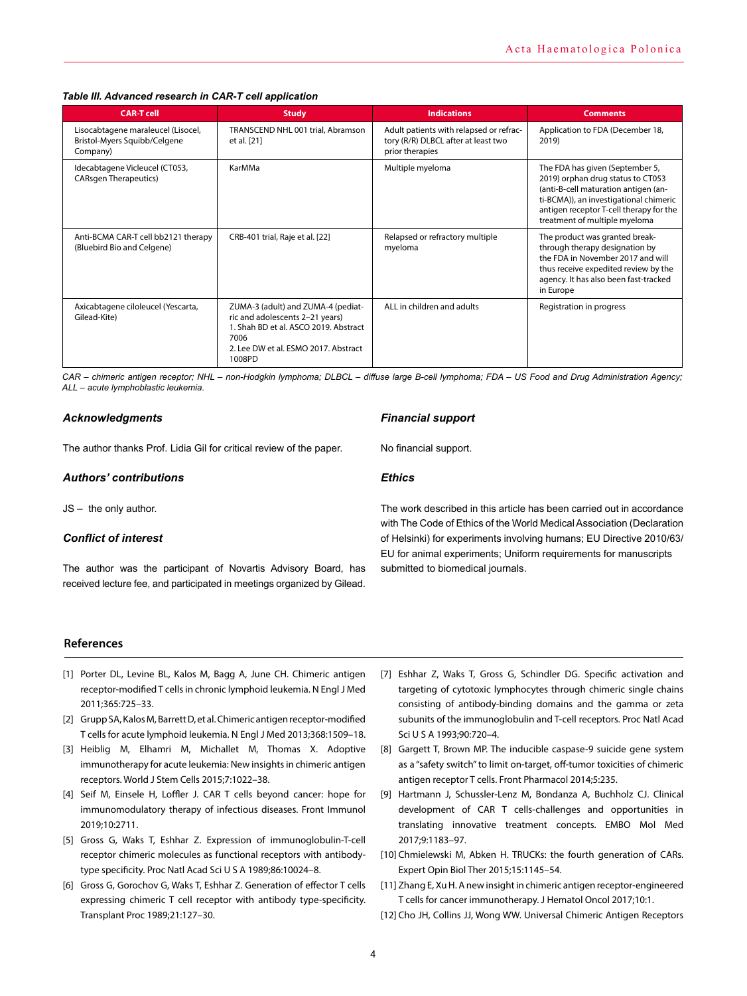## *Table III. Advanced research in CAR-T cell application*

| <b>CAR-T cell</b>                                                              | <b>Study</b>                                                                                                                                                             | <b>Indications</b>                                                                                | <b>Comments</b>                                                                                                                                                                                                                    |
|--------------------------------------------------------------------------------|--------------------------------------------------------------------------------------------------------------------------------------------------------------------------|---------------------------------------------------------------------------------------------------|------------------------------------------------------------------------------------------------------------------------------------------------------------------------------------------------------------------------------------|
| Lisocabtagene maraleucel (Lisocel,<br>Bristol-Myers Squibb/Celgene<br>Company) | TRANSCEND NHL 001 trial, Abramson<br>et al. [21]                                                                                                                         | Adult patients with relapsed or refrac-<br>tory (R/R) DLBCL after at least two<br>prior therapies | Application to FDA (December 18,<br>2019)                                                                                                                                                                                          |
| Idecabtagene Vicleucel (CT053,<br><b>CARsgen Therapeutics</b> )                | KarMMa                                                                                                                                                                   | Multiple myeloma                                                                                  | The FDA has given (September 5,<br>2019) orphan drug status to CT053<br>(anti-B-cell maturation antigen (an-<br>ti-BCMA)), an investigational chimeric<br>antigen receptor T-cell therapy for the<br>treatment of multiple myeloma |
| Anti-BCMA CAR-T cell bb2121 therapy<br>(Bluebird Bio and Celgene)              | CRB-401 trial, Raje et al. [22]                                                                                                                                          | Relapsed or refractory multiple<br>myeloma                                                        | The product was granted break-<br>through therapy designation by<br>the FDA in November 2017 and will<br>thus receive expedited review by the<br>agency. It has also been fast-tracked<br>in Europe                                |
| Axicabtagene ciloleucel (Yescarta,<br>Gilead-Kite)                             | ZUMA-3 (adult) and ZUMA-4 (pediat-<br>ric and adolescents 2-21 years)<br>1. Shah BD et al. ASCO 2019. Abstract<br>7006<br>2. Lee DW et al. ESMO 2017. Abstract<br>1008PD | ALL in children and adults                                                                        | Registration in progress                                                                                                                                                                                                           |

*CAR – chimeric antigen receptor; NHL – non-Hodgkin lymphoma; DLBCL – diffuse large B-cell lymphoma; FDA – US Food and Drug Administration Agency; ALL – acute lymphoblastic leukemia.*

#### *Acknowledgments*

The author thanks Prof. Lidia Gil for critical review of the paper.

#### *Authors' contributions*

JS – the only author.

# *Conflict of interest*

The author was the participant of Novartis Advisory Board, has received lecture fee, and participated in meetings organized by Gilead. *Financial support*

No financial support.

#### *Ethics*

The work described in this article has been carried out in accordance with The Code of Ethics of the World Medical Association (Declaration of Helsinki) for experiments involving humans; EU Directive 2010/63/ EU for animal experiments; Uniform requirements for manuscripts submitted to biomedical journals.

## **References**

- [1] Porter DL, Levine BL, Kalos M, Bagg A, June CH. Chimeric antigen receptor-modified T cells in chronic lymphoid leukemia. N Engl J Med 2011;365:725–33.
- [2] Grupp SA, Kalos M, Barrett D, et al. Chimeric antigen receptor-modified T cells for acute lymphoid leukemia. N Engl J Med 2013;368:1509–18.
- [3] Heiblig M, Elhamri M, Michallet M, Thomas X. Adoptive immunotherapy for acute leukemia: New insights in chimeric antigen receptors. World J Stem Cells 2015;7:1022–38.
- [4] Seif M, Einsele H, Loffler J. CAR T cells beyond cancer: hope for immunomodulatory therapy of infectious diseases. Front Immunol 2019;10:2711.
- [5] Gross G, Waks T, Eshhar Z. Expression of immunoglobulin-T-cell receptor chimeric molecules as functional receptors with antibodytype specificity. Proc Natl Acad Sci U S A 1989;86:10024–8.
- [6] Gross G, Gorochov G, Waks T, Eshhar Z. Generation of effector T cells expressing chimeric T cell receptor with antibody type-specificity. Transplant Proc 1989;21:127–30.
- [7] Eshhar Z, Waks T, Gross G, Schindler DG. Specific activation and targeting of cytotoxic lymphocytes through chimeric single chains consisting of antibody-binding domains and the gamma or zeta subunits of the immunoglobulin and T-cell receptors. Proc Natl Acad Sci U S A 1993;90:720–4.
- [8] Gargett T, Brown MP. The inducible caspase-9 suicide gene system as a "safety switch" to limit on-target, off-tumor toxicities of chimeric antigen receptor T cells. Front Pharmacol 2014;5:235.
- [9] Hartmann J, Schussler-Lenz M, Bondanza A, Buchholz CJ. Clinical development of CAR T cells-challenges and opportunities in translating innovative treatment concepts. EMBO Mol Med 2017;9:1183–97.
- [10] Chmielewski M, Abken H. TRUCKs: the fourth generation of CARs. Expert Opin Biol Ther 2015;15:1145–54.
- [11] Zhang E, Xu H. A new insight in chimeric antigen receptor-engineered T cells for cancer immunotherapy. J Hematol Oncol 2017;10:1.
- [12] Cho JH, Collins JJ, Wong WW. Universal Chimeric Antigen Receptors